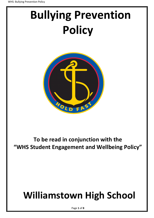# **Bullying Prevention Policy**



### **To be read in conjunction with the "WHS Student Engagement and Wellbeing Policy"**

## **Williamstown High School**

Page **1** of **8**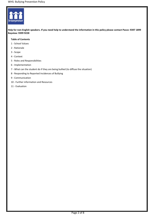

**Help for non-English speakers. If you need help to understand the information in this policy please contact Pasco: 9397 1899 Bayview: 9399 9228**

#### **Table of Contents**

- 1 School Values
- 2 Rationale
- 3 Scope
- 4 Context
- 5 Roles and Responsibilities
- 6 Implementation
- 7 What can the student do if they are being bullied (to diffuse the situation)
- 8 Responding to Reported Incidences of Bullying
- 9 Communication
- 10 Further information and Resources
- 11 Evaluation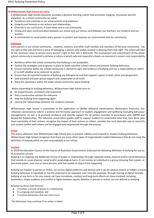#### **At Williamstown High School we value:**

A Williamstown High School education provides a dynamic learning culture that promotes integrity, innovation and the individual. As a school community we value:

- Excellence and creativity in our achievements and ambitions.
- Integrity and honesty in our actions and relationships.
- Diversity in our curriculum, in each other and in our community.
- Strong and open communication between our school and our homes, and between our teachers, our students and our families.
- A commitment to social justice and a passion to protect and improve our environment and our community.

#### **Rationale**

Every person in our school community - students, teachers and other staff, families and members of the local community - has the right to feel safe and have a sense of belonging. A person who bullies another is denying them that right. The school will take all the necessary steps to ensure every person's right to feel safe is delivered. The involvement and commitment of the whole school community is required to achieve a culture in which safe and respectful schools are everyone's concern and responsibility

- Reinforce within the school community that bullying is not acceptable.
- Outline the strategies and programs in place to build a positive school culture and prevent bullying behaviour.
- Ensure everyone within the school community is alerted to signs and evidence of bullying and has a responsibility to report it to staff whether as an observer or victim.
- Ensure that all reported incidents of bullying are followed up and that support is given to both victim and perpetrator.
- Seek parental and peer-group support and cooperation at all times.
- Raise the awareness within the wider school community about bullying

When responding to bullying behaviour, Williamstown High School aims to:

- be proportionate, consistent and responsive
- find a constructive solution for everyone
- stop the bullying from happening again
- restore the relationships between the students involved.

Williamstown High School is committed to the application of SWPBS reflective conversations (Restorative Practices). Our reflective conversations inform a positive and formative approach to student engagement and wellbeing (including behaviour management). Its aim is to promote resilience and provide support for all parties involved, in accordance with SWPBS and Respectful Relationships. The reflective conversation guides staff to support students to understand what they have done, give them ownership of their actions, recognise the impact of their actions on others, consider the most desirable way to reconcile and resolve conflict with others and be engaged and empowered through the process.

#### **Scope**

This policy addresses how Williamstown High School aims to prevent, address and respond to student bullying behaviour. Williamstown High School recognises that there are many other types of inappropriate student behaviours that do not meet the definition of bullying which are also unacceptable at our school.

#### **Context**

In 2018 the Education Council of the Council of Australian Governments endorsed the following definition of bullying for use by all Australian schools:

Bullying is an ongoing and deliberate misuse of power in relationships through repeated verbal, physical and/or social behaviour that intends to cause physical, social and/or psychological harm. It can involve an individual or a group misusing their power, or perceived power, over one or more persons who feel unable to stop it from happening.

Bullying can happen in person or online, via various digital platforms and devices and it can be obvious (overt) or hidden (covert). Bullying behaviour is repeated, or has the potential to be repeated, over time (for example, through sharing of digital records). Bullying of any form or for any reason can have immediate, medium and long-term effects on those involved, including bystanders. Single incidents and conflict or fights between equals, whether in person or online, are not defined as bullying.

Bullying has three main features:

- It involves a misuse of power in a relationship
- It is ongoing and repeated, and
- It involves behaviours that can cause harm

The behaviour may continue if no action is taken.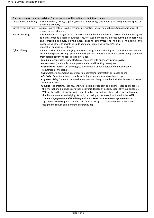|                          | There are several types of bullying. For the purpose of this policy see definitions below:                                                                                                                                                                                                                                                                                                                                                                                                                                                                                                                                                                                                                                                                                                                                                                                                                                                                                                                                                                                                                                                                                                                                                                                                                                                                                                                                                                                         |
|--------------------------|------------------------------------------------------------------------------------------------------------------------------------------------------------------------------------------------------------------------------------------------------------------------------------------------------------------------------------------------------------------------------------------------------------------------------------------------------------------------------------------------------------------------------------------------------------------------------------------------------------------------------------------------------------------------------------------------------------------------------------------------------------------------------------------------------------------------------------------------------------------------------------------------------------------------------------------------------------------------------------------------------------------------------------------------------------------------------------------------------------------------------------------------------------------------------------------------------------------------------------------------------------------------------------------------------------------------------------------------------------------------------------------------------------------------------------------------------------------------------------|
| Direct physical bullying | Includes hitting, kicking, tripping, pinching and pushing, continuously invading personal space or<br>damaging property                                                                                                                                                                                                                                                                                                                                                                                                                                                                                                                                                                                                                                                                                                                                                                                                                                                                                                                                                                                                                                                                                                                                                                                                                                                                                                                                                            |
| Direct verbal bullying   | Includes - name calling, insults, teasing, intimidation, sexist, homophobic, transphobic or racist<br>remarks, or verbal abuse                                                                                                                                                                                                                                                                                                                                                                                                                                                                                                                                                                                                                                                                                                                                                                                                                                                                                                                                                                                                                                                                                                                                                                                                                                                                                                                                                     |
| Indirect bullying        | Is often harder to recognise and can be carried out behind the bullied person's back. It is designed<br>to harm someone's social reputation and/or cause humiliation. Indirect bullying includes: lying<br>and spreading rumours, playing nasty jokes to embarrass and humiliate, mimicking, and<br>encouraging others to socially exclude someone, damaging someone's social<br>reputation or social acceptance.                                                                                                                                                                                                                                                                                                                                                                                                                                                                                                                                                                                                                                                                                                                                                                                                                                                                                                                                                                                                                                                                  |
| Cyberbullying            | Is direct verbal or indirect bullying behaviours using digital technologies. This includes harassment<br>via a mobile phone, setting up a defamatory personal website or deliberately excluding someone<br>from social networking spaces. It can include:<br><b>• Flaming</b> (online fights using electronic messages with angry or vulgar messages)<br>• Harassment (repeatedly sending nasty, mean and insulting messages)<br><b>· Denigration</b> (posting or sending gossip or rumours about a person to damage his/her<br>reputation or friendships)<br>• Outing (sharing someone's secrets or embarrassing information or images online)<br>• Exclusion (intentionally and cruelly excluding someone from an online group)<br>• Cyber-stalking (repeated intense harassment and denigration that includes threats or creates<br>significant fear).<br>• Sexting (the creating, sharing, sending or posting of sexually explicit messages or images via<br>the internet, mobile phones or other electronic devices by people, especially young people).<br>Williamstown High School provides specific advice to students about cyber-safe behaviours<br>that help prevent cyberbullying. As such, this policy works in conjunction with the WHS<br>Student Engagement and Wellbeing Policy and WHS Acceptable Use Agreement (an<br>agreement which requires students and families to agree to positive online behaviours<br>designed to reduce and eliminate cyberbullying). |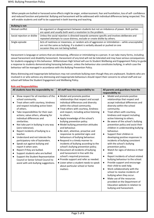When people are bullied or harassed some effects might be anger, embarrassment, fear and humiliation, loss of self- confidence and reduced function and potential. Bullying and harassment will be addressed with individual differences being respected. This will enable students and staff to be supported in both learning and teaching.

| <b>Bullying is not:</b>     |                                                                                                                                                                                                                            |  |
|-----------------------------|----------------------------------------------------------------------------------------------------------------------------------------------------------------------------------------------------------------------------|--|
| Mutual conflict             | An argument or disagreement between students but not an imbalance of power. Both parties<br>are upset and usually both want a resolution to the problem.                                                                   |  |
| Social rejection or dislike | Unless the social rejection is directed towards someone specific and involves deliberate and<br>repeated attempts to cause distress, exclude or create dislike by others.                                                  |  |
| Single-episode              | Acts of nastiness or meanness, or random acts of aggression or intimidation - while unacceptable<br>are not the same as bullying. If a student is verbally abused or pushed on one<br>occasion they are not being bullied. |  |

Harassment is language or actions that are demeaning, offensive or intimidating to a person. It can take many forms, including sexual harassment and disability harassment. Harassment of any kind will not be tolerated and may have serious consequences for students engaging in this behaviour. Williamstown High School will use its Student Wellbeing and Engagement Policy to guide a response to students demonstrating harassing behaviour, unless the behaviour also constitutes bullying, in which case the behaviour will be managed in accordance with this Bullying Prevention Policy.

Many distressing and inappropriate behaviours may not constitute bullying even though they are unpleasant. Students who are involved in or who witness any distressing and inappropriate behaviours should report their concerns to school staff and our school will follow the Student Engagement and Wellbeing Policy.

| <b>Role and Responsibilities</b>                                                                                                                                                                                                                                                                                                                                                                                                                                                                                                                                                                                                                                                                                                                                     |                                                                                                                                                                                                                                                                                                                                                                                                                                                                                                                                                                                                                                                                                                                                                                                                                                                                     |                                                                                                                                                                                                                                                                                                                                                                                                                                                                                                                                                                                                                                                                                                                                                                                                                                                                                                                                                                                                 |  |  |
|----------------------------------------------------------------------------------------------------------------------------------------------------------------------------------------------------------------------------------------------------------------------------------------------------------------------------------------------------------------------------------------------------------------------------------------------------------------------------------------------------------------------------------------------------------------------------------------------------------------------------------------------------------------------------------------------------------------------------------------------------------------------|---------------------------------------------------------------------------------------------------------------------------------------------------------------------------------------------------------------------------------------------------------------------------------------------------------------------------------------------------------------------------------------------------------------------------------------------------------------------------------------------------------------------------------------------------------------------------------------------------------------------------------------------------------------------------------------------------------------------------------------------------------------------------------------------------------------------------------------------------------------------|-------------------------------------------------------------------------------------------------------------------------------------------------------------------------------------------------------------------------------------------------------------------------------------------------------------------------------------------------------------------------------------------------------------------------------------------------------------------------------------------------------------------------------------------------------------------------------------------------------------------------------------------------------------------------------------------------------------------------------------------------------------------------------------------------------------------------------------------------------------------------------------------------------------------------------------------------------------------------------------------------|--|--|
| All students have the responsibility to:                                                                                                                                                                                                                                                                                                                                                                                                                                                                                                                                                                                                                                                                                                                             | All staff have the responsibility to:                                                                                                                                                                                                                                                                                                                                                                                                                                                                                                                                                                                                                                                                                                                                                                                                                               | All parents and guardians have the<br>responsibility to:                                                                                                                                                                                                                                                                                                                                                                                                                                                                                                                                                                                                                                                                                                                                                                                                                                                                                                                                        |  |  |
| Show respect for all members of the<br>school community.<br>Treat others with courtesy, kindness<br>and respect including active listen<br>of others.<br>Take responsibilities for their own<br>actions; value others, allowing for<br>individual differences and<br>similarities.<br>Not take part in bullying in any way<br>(zero tolerance).<br>Report incidents of bullying to a<br>teacher.<br>Understand and not tolerate the<br>participatory role of bystanders.<br>Speak out against bullying and<br>$\bullet$<br>report it when seen.<br>Report if they are bullied.<br>Support students who are bullied.<br>$\bullet$<br>Support the Student Representative<br>$\bullet$<br>Council or Senior School Council to<br>assist with anti-bullying suggestions. | • Model and promote positive<br>relationships that respect and accept<br>individual differences and diversity<br>within the school community.<br>• Treat others with courtesy, kindness<br>and respect, including active listening<br>to others.<br>• Apply knowledge of the school's<br>bullying prevention policy.<br>• Model bullying prevention attitudes<br>and behaviour.<br>• Be alert, attentive, proactive and<br>responsive to potential signs and<br>behaviours of bullying behaviour.<br>• Respond in a timely manner to<br>incidents of bullying according to the<br>school's bullying prevention policy.<br>• Document all incidents of bullying<br>and harassment in line with the<br>school's required processes.<br>• Provide support and refer as needed.<br>• Listen when a student needs to speak<br>about particular school or home<br>matters | Model and promote positive<br>$\bullet$<br>relationships that respect and<br>accept individual differences and<br>diversity within the school<br>community.<br>Treat others with courtesy,<br>$\bullet$<br>kindness and respect including<br>active listening to others.<br>Be aware of the school's bullying<br>$\bullet$<br>prevention policy and assist their<br>children in understanding bullying<br>behaviour.<br>Support their children in<br>$\bullet$<br>developing positive responses to<br>incidents of bullying consistent<br>with the school's bullying<br>prevention policy.<br>Watch for signs of distress in their<br>$\bullet$<br>child.<br>Report incidents of school related<br>٠<br>bullying behaviour to the school.<br>Provide support and encourage<br>$\bullet$<br>their child to seek help.<br>Work collaboratively with the<br>$\bullet$<br>school to resolve incidents of<br>bullying when they occur.<br>Make use of the resources<br>provided on the Department of |  |  |
|                                                                                                                                                                                                                                                                                                                                                                                                                                                                                                                                                                                                                                                                                                                                                                      |                                                                                                                                                                                                                                                                                                                                                                                                                                                                                                                                                                                                                                                                                                                                                                                                                                                                     | Education website in relation to<br>bullying and harassment.                                                                                                                                                                                                                                                                                                                                                                                                                                                                                                                                                                                                                                                                                                                                                                                                                                                                                                                                    |  |  |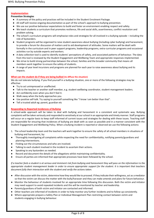#### **Implementation**

**Prevention Strategies**

- A summary of the policy and practices will be included in the Student Enrolment Package.
- All staff will receive ongoing documentation as part of the school's approach to bullying prevention.
- We use our positive behaviour expectations to build and foster an environment enabling respect and safety.
- We teach students a curriculum that promotes resilience, life and social skills, assertiveness, conflict resolution and problem solving.
- The school's curriculum programs will emphasise roles and strategies for all involved in a bullying episode including the role of bystanders.
- Student programs will be organised to raise student awareness about bullying (including cyber bullying) and harassment, to provide a forum for discussion of matters and to aid development of attitudes. Some matters will be dealt with formally in the curriculum and in peer support programs, leadership programs, extra-curricular programs and occasional activities run by outside experts and workers.
- A data collection tool is used to identify students' perceptions of safety, and associated patterns of behaviour. The data from this tool is reviewed by the Student Engagement and Wellbeing Team and appropriate responses implemented.
- We strive to build strong partnerships between the school, families and the broader community that means all members work together to ensure the safety of students.
- A range of year level incursions and programs are planned for each year to raise awareness about bullying and its impacts.

#### **What can the student do if they are being bullied (to diffuse the situation)**

We do not tolerate bullying. If you find yourself in a bullying situation, one or more of the following strategies may be effective:

- Try to act unimpressed or unaffected.
- Talk to the teacher or another staff member, e.g. student wellbeing coordinator, student management leaders.
- Act confidently even when you don't feel it.
- Walk away when the bully approaches you.
- Use positive self-talk. Try saying to yourself something like "I know I am better than that".
- Tell a trusted adult eg: parent, guardian etc

#### **Responding to Reported Incidences of Bullying**

A school-wide approach will be taken to deal with bullying and harassment in a consistent and systematic way. Bullying complaints will be taken seriously and responded to sensitively at our school in an appropriate and timely manner. Staff programs will occur on a regular basis to keep staff informed of current issues and strategies for dealing with these issues. Teaching staff are responsible for ensuring that incidences of bullying are dealt with as soon as possible and in a manner consistent with the Student Engagement and Wellbeing Policy. When a bullying incident is reported or observed we use the following actions:

- 1. The school leadership team and the teachers will work together to ensure the safety of all school members in situations of bullying and harassment, by:
- Thoroughly investigating all complaints while respecting the need for confidentiality, notifying parents/guardians and planning interventions.
- Finding out the circumstances and who are involved.
- Talking to each student involved in the incident to ascertain their actions.
- Speaking to any bystanders as needed.
- Record and document the details of the allegations whilst maintaining confidentiality.
- Ensure all parties are informed that appropriate processes have been followed by the school.

*If a teacher feels a student is at serious and imminent risk from bullying and harassment they will pass on the information to the appropriate student management leader in order to ensure appropriate support for the student. It is important that teachers document fully their interaction with the student and verify the actions taken.*

- After discussion with the victim, determine how they would like to proceed. If they indicate their willingness, act as a mediator so that the victim can discuss the matter with the bully/harasser and they can make amends and plans for future behaviour.
- Monitor the behaviour of students involved for an appropriate time following this discussion. Both the victim and initiator may need support to avoid repeated incidents and this will be monitored by teacher and leadership.
- Parents/guardians of both victim and initiator are contacted and informed.
- Other teachers are informed of incidents in order to help monitor any further incidents and to follow up consistently.
- Where appropriate prepare a Safety Plan or Individual Management Plan restricting contact between victim and students engaging in bullying behaviour.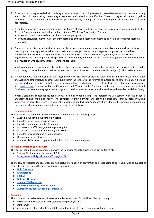- 2. Constructive strategies to deal with bullying include: education in coping strategies; assertiveness training; problem solving and social skills; counselling, reteaching experiences and behaviour modification. These strategies will be employed in preference to disciplinary actions and follow up consequences, although disciplinary arrangements will be enacted where appropriate.
- 3. If the bullying or harassment continues, or in instances of severe bullying or harassing, a referral should be made to the Student Engagement and Wellbeing Leader or Student Wellbeing Coordinator. They may:
	- Meet with the student to develop a behaviour support plan.
	- Provide discussion/mentoring of different social and emotional learning competencies including structured learning activities.
- 4. For 'at risk' students whose bullying or harassing behaviour is severe and for other non-at risk students whose bullying or harassing and other aggressive behaviour is resistant to change, a behaviour management support plan should be developed, and reviewed at regular intervals as required in consultation with student, parents/carers and Student Engagement and Wellbeing team. The plan will be developed by a member of the student engagement and wellbeing team in consultation with student, parents/carers and teachers.

A behaviour management support plan and associated interventions help connect the student to programs and actions in the community, school and home as well as develop the student's inner social and emotional strengths (such as skills, values).

5. A student whose severe bullying or harassing behaviour resists school efforts and represents a significant threat to the safety and wellbeing of themselves or other individuals within the school, will be referred to outside agencies for evaluation. Serious bullying, including serious cyberbullying, is a criminal offence and may be referred to Victoria Police. For more information, see[:](http://www.education.vic.gov.au/about/programs/bullystoppers/Pages/advicesheetbrodieslaw.aspx) [Brodie's Law.](http://www.education.vic.gov.au/about/programs/bullystoppers/Pages/advicesheetbrodieslaw.aspx) Student Wellbeing Coordinator and Mental Health Practitioner will connect the school, student and families to those community agencies and organisations that can offer more intensive services to the student and their family.

**Note:** Disciplinary consequences for bullying (including cyber bullying) and harassment will comply with the School's Engagement and Wellbeing Policy. The principal or their nominee will provide disciplinary consequences, including suspension in accordance with DET Student Engagement and Inclusion Guidance at any stage in the process depending on the contextual information relating to the severity of the bullying

#### **Communication**

This policy will be communicated to our school community in the following ways:

- Available publicly on our school's website
- Included in staff induction processes
- Included in our staff handbook/manual
- Discussed at staff briefings/meetings as required
- Discussed at parent information nights/sessions
- Included in transition and enrolment packs
- Discussed at student forums
- Made available in hard copy from school administration upon request

#### **Further information and Resources**

This policy should be read in conjunction with the following school policies which can be found at:

● Student Wellbeing and Engagement Policy [http://www.willihigh.vic.edu.au/?page\\_id=108](http://www.willihigh.vic.edu.au/?page_id=108)

The following websites and resources provide useful information on prevention and responding to bullying, as well as supporting students who have been the target of bullying behaviours:

- **[Bully Stoppers](https://www.education.vic.gov.au/about/programs/bullystoppers/Pages/default.aspx)**
- **[Kids Helpline](https://kidshelpline.com.au/)**
- **[Lifeline](https://www.lifeline.org.au/)**
- **[Bullying. No way!](https://bullyingnoway.gov.au/)**
- **[Student Wellbeing Hub](https://www.studentwellbeinghub.edu.au/)**
- **[Office of the eSafety Commissioner](https://www.esafety.gov.au/)**
- **[Australian Student Wellbeing Framework](https://studentwellbeinghub.edu.au/educators/resources/australian-student-wellbeing-framework/)**

#### **Evaluation**

This policy will be reviewed every 3 years, or earlier as required. Data will be collected through:

- discussion and consultation with students and parent/carers
- staff surveys
- assessment of other school-based data, including Student Engagement and Wellbeing Data